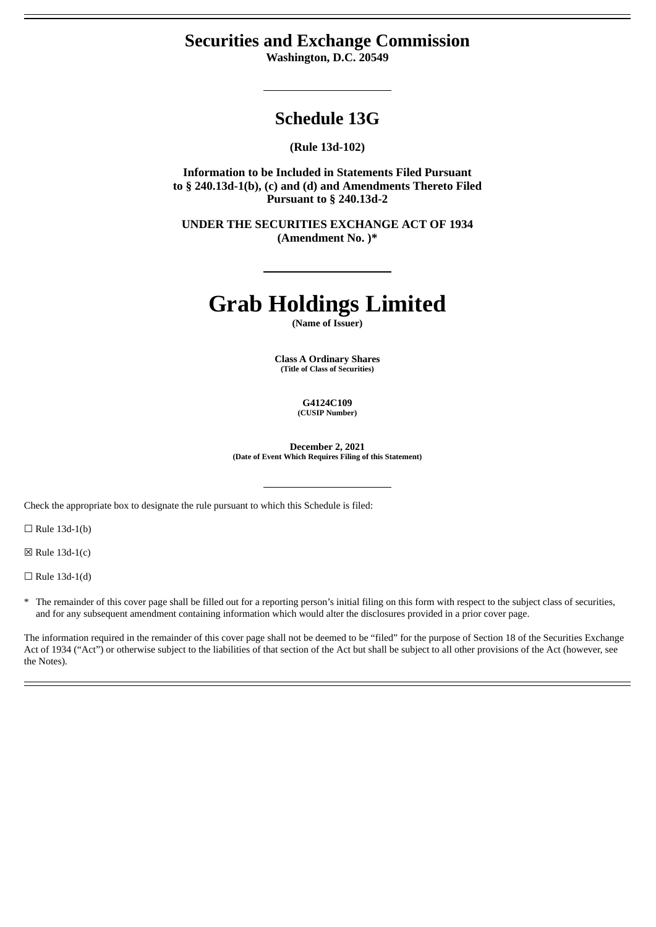# **Securities and Exchange Commission**

**Washington, D.C. 20549**

# **Schedule 13G**

**(Rule 13d-102)**

**Information to be Included in Statements Filed Pursuant to § 240.13d-1(b), (c) and (d) and Amendments Thereto Filed Pursuant to § 240.13d-2**

**UNDER THE SECURITIES EXCHANGE ACT OF 1934 (Amendment No. )\***

# **Grab Holdings Limited**

**(Name of Issuer)**

**Class A Ordinary Shares (Title of Class of Securities)**

> **G4124C109 (CUSIP Number)**

**December 2, 2021 (Date of Event Which Requires Filing of this Statement)**

Check the appropriate box to designate the rule pursuant to which this Schedule is filed:

 $\Box$  Rule 13d-1(b)

 $\boxtimes$  Rule 13d-1(c)

 $\Box$  Rule 13d-1(d)

\* The remainder of this cover page shall be filled out for a reporting person's initial filing on this form with respect to the subject class of securities, and for any subsequent amendment containing information which would alter the disclosures provided in a prior cover page.

The information required in the remainder of this cover page shall not be deemed to be "filed" for the purpose of Section 18 of the Securities Exchange Act of 1934 ("Act") or otherwise subject to the liabilities of that section of the Act but shall be subject to all other provisions of the Act (however, see the Notes).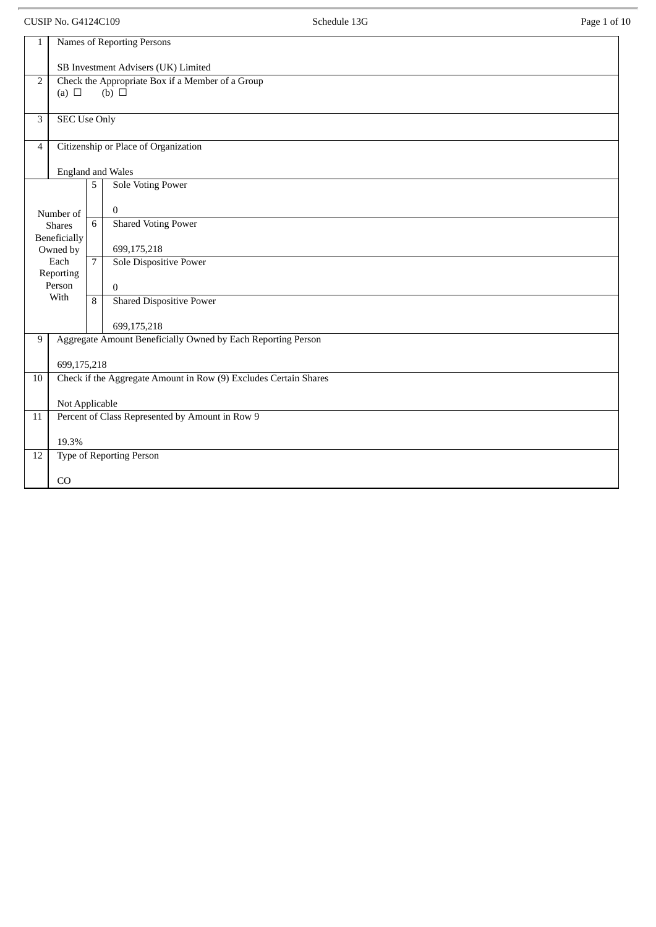CUSIP No. G4124C109 **Schedule 13G** Page 1 of 10 1 Names of Reporting Persons SB Investment Advisers (UK) Limited 2 Check the Appropriate Box if a Member of a Group  $(a) \Box$  (b)  $\Box$ 3 SEC Use Only 4 Citizenship or Place of Organization England and Wales Number of Shares Beneficially Owned by Each Reporting Person With 5 Sole Voting Power 0 6 Shared Voting Power 699,175,218 7 Sole Dispositive Power 0 8 Shared Dispositive Power 699,175,218 9 | Aggregate Amount Beneficially Owned by Each Reporting Person 699,175,218 10 Check if the Aggregate Amount in Row (9) Excludes Certain Shares Not Applicable 11 Percent of Class Represented by Amount in Row 9 19.3% 12 Type of Reporting Person CO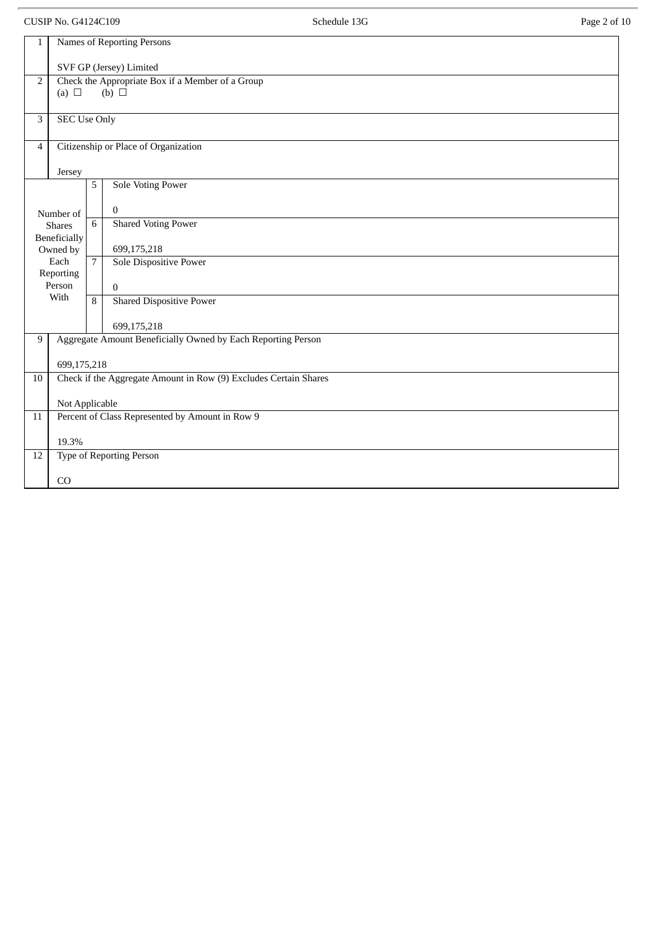CUSIP No. G4124C109 **Schedule 13G Schedule 13G** Page 2 of 10

| $\mathbf{1}$   | Names of Reporting Persons |                |                                                                  |  |  |
|----------------|----------------------------|----------------|------------------------------------------------------------------|--|--|
|                | SVF GP (Jersey) Limited    |                |                                                                  |  |  |
| $\overline{2}$ | (a) $\Box$                 |                | Check the Appropriate Box if a Member of a Group<br>(b) $\Box$   |  |  |
|                |                            |                |                                                                  |  |  |
| 3              | <b>SEC Use Only</b>        |                |                                                                  |  |  |
| $\overline{4}$ |                            |                | Citizenship or Place of Organization                             |  |  |
|                | Jersey                     |                |                                                                  |  |  |
|                |                            | 5              | <b>Sole Voting Power</b>                                         |  |  |
|                |                            |                |                                                                  |  |  |
|                | Number of                  |                | $\mathbf{0}$                                                     |  |  |
|                | <b>Shares</b>              | 6              | <b>Shared Voting Power</b>                                       |  |  |
|                | Beneficially               |                |                                                                  |  |  |
|                | Owned by                   |                | 699,175,218                                                      |  |  |
|                | Each                       | $\overline{7}$ | Sole Dispositive Power                                           |  |  |
|                | Reporting                  |                |                                                                  |  |  |
|                | Person                     |                | $\mathbf{0}$                                                     |  |  |
|                | With                       | 8              | <b>Shared Dispositive Power</b>                                  |  |  |
|                |                            |                |                                                                  |  |  |
|                |                            |                | 699,175,218                                                      |  |  |
| 9              |                            |                | Aggregate Amount Beneficially Owned by Each Reporting Person     |  |  |
|                | 699,175,218                |                |                                                                  |  |  |
| 10             |                            |                | Check if the Aggregate Amount in Row (9) Excludes Certain Shares |  |  |
|                |                            |                |                                                                  |  |  |
|                | Not Applicable             |                |                                                                  |  |  |
| 11             |                            |                | Percent of Class Represented by Amount in Row 9                  |  |  |
|                |                            |                |                                                                  |  |  |
|                | 19.3%                      |                |                                                                  |  |  |
| 12             |                            |                | Type of Reporting Person                                         |  |  |
|                | CO                         |                |                                                                  |  |  |
|                |                            |                |                                                                  |  |  |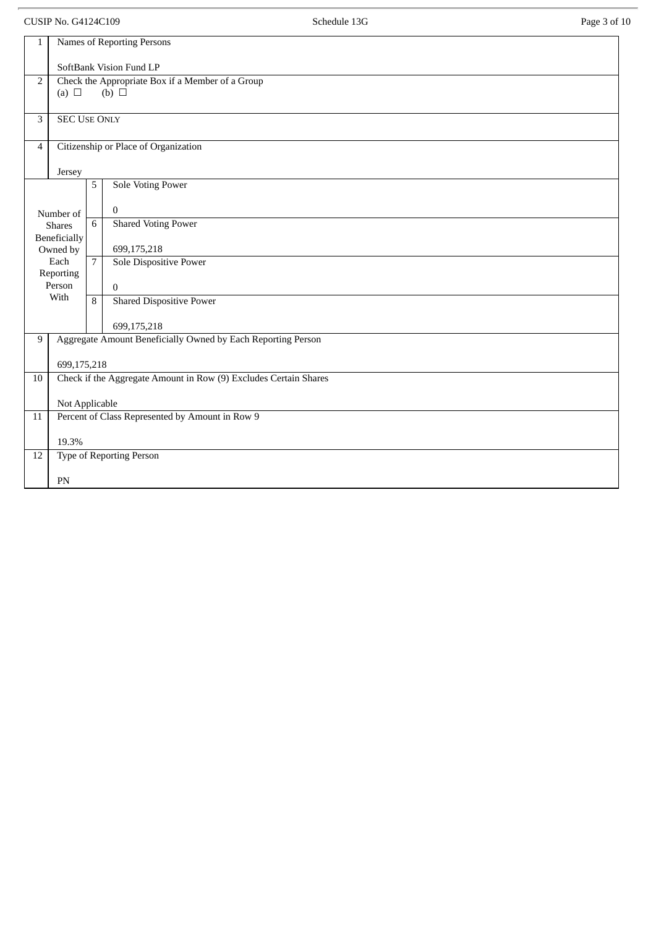CUSIP No. G4124C109 **Schedule 13G Schedule 13G** Page 3 of 10

| $\mathbf{1}$                                          | <b>Names of Reporting Persons</b>                                |                |                                                              |  |  |  |
|-------------------------------------------------------|------------------------------------------------------------------|----------------|--------------------------------------------------------------|--|--|--|
|                                                       | SoftBank Vision Fund LP                                          |                |                                                              |  |  |  |
| Check the Appropriate Box if a Member of a Group<br>2 |                                                                  |                |                                                              |  |  |  |
|                                                       | (a) $\Box$                                                       |                | (b) $\Box$                                                   |  |  |  |
|                                                       |                                                                  |                |                                                              |  |  |  |
| 3                                                     | <b>SEC USE ONLY</b>                                              |                |                                                              |  |  |  |
|                                                       |                                                                  |                |                                                              |  |  |  |
| 4                                                     |                                                                  |                | Citizenship or Place of Organization                         |  |  |  |
|                                                       |                                                                  |                |                                                              |  |  |  |
|                                                       | Jersey                                                           |                |                                                              |  |  |  |
|                                                       |                                                                  | 5              | <b>Sole Voting Power</b>                                     |  |  |  |
|                                                       |                                                                  |                |                                                              |  |  |  |
|                                                       | Number of                                                        |                | $\mathbf{0}$                                                 |  |  |  |
|                                                       | <b>Shares</b>                                                    | 6              | <b>Shared Voting Power</b>                                   |  |  |  |
|                                                       | <b>Beneficially</b>                                              |                |                                                              |  |  |  |
|                                                       | Owned by                                                         |                | 699,175,218                                                  |  |  |  |
|                                                       | Each<br>Reporting                                                | $\overline{7}$ | Sole Dispositive Power                                       |  |  |  |
|                                                       | Person                                                           |                | $\mathbf{0}$                                                 |  |  |  |
|                                                       | With                                                             | 8              | <b>Shared Dispositive Power</b>                              |  |  |  |
|                                                       |                                                                  |                |                                                              |  |  |  |
|                                                       |                                                                  |                | 699,175,218                                                  |  |  |  |
| 9                                                     |                                                                  |                | Aggregate Amount Beneficially Owned by Each Reporting Person |  |  |  |
|                                                       |                                                                  |                |                                                              |  |  |  |
|                                                       | 699,175,218                                                      |                |                                                              |  |  |  |
| 10                                                    | Check if the Aggregate Amount in Row (9) Excludes Certain Shares |                |                                                              |  |  |  |
|                                                       |                                                                  |                |                                                              |  |  |  |
|                                                       | Not Applicable                                                   |                |                                                              |  |  |  |
| 11                                                    |                                                                  |                | Percent of Class Represented by Amount in Row 9              |  |  |  |
|                                                       | 19.3%                                                            |                |                                                              |  |  |  |
| 12                                                    |                                                                  |                |                                                              |  |  |  |
|                                                       | Type of Reporting Person                                         |                |                                                              |  |  |  |
|                                                       | PN                                                               |                |                                                              |  |  |  |
|                                                       |                                                                  |                |                                                              |  |  |  |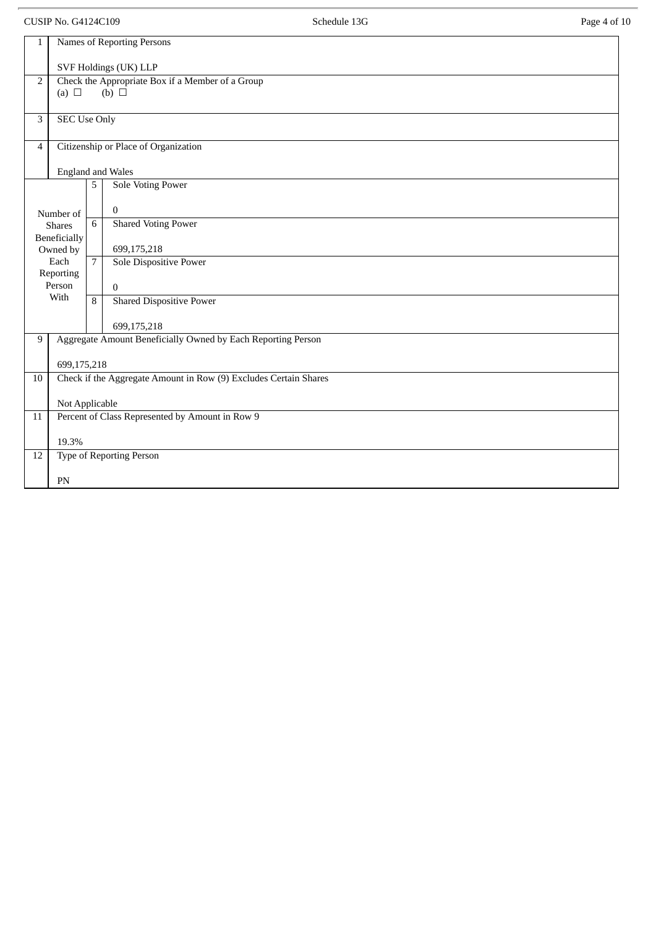CUSIP No. G4124C109 **Schedule 13G Schedule 13G** Page 4 of 10

| $\mathbf{1}$                                           | Names of Reporting Persons                                       |                |                                                              |  |  |
|--------------------------------------------------------|------------------------------------------------------------------|----------------|--------------------------------------------------------------|--|--|
|                                                        | SVF Holdings (UK) LLP                                            |                |                                                              |  |  |
| 2                                                      |                                                                  |                | Check the Appropriate Box if a Member of a Group             |  |  |
|                                                        | (a) $\Box$                                                       |                | (b) $\Box$                                                   |  |  |
| 3                                                      | <b>SEC Use Only</b>                                              |                |                                                              |  |  |
| Citizenship or Place of Organization<br>$\overline{4}$ |                                                                  |                |                                                              |  |  |
|                                                        |                                                                  |                | <b>England and Wales</b>                                     |  |  |
|                                                        |                                                                  | 5              | <b>Sole Voting Power</b>                                     |  |  |
|                                                        | Number of                                                        |                | $\mathbf{0}$                                                 |  |  |
|                                                        | <b>Shares</b>                                                    | 6              | Shared Voting Power                                          |  |  |
|                                                        | Beneficially<br>Owned by                                         |                | 699,175,218                                                  |  |  |
|                                                        | Each<br>Reporting                                                | $\overline{7}$ | Sole Dispositive Power                                       |  |  |
|                                                        | Person                                                           |                | $\mathbf{0}$                                                 |  |  |
|                                                        | With                                                             | 8              | <b>Shared Dispositive Power</b>                              |  |  |
|                                                        |                                                                  |                | 699,175,218                                                  |  |  |
| 9                                                      |                                                                  |                | Aggregate Amount Beneficially Owned by Each Reporting Person |  |  |
|                                                        | 699,175,218                                                      |                |                                                              |  |  |
| 10                                                     | Check if the Aggregate Amount in Row (9) Excludes Certain Shares |                |                                                              |  |  |
|                                                        | Not Applicable                                                   |                |                                                              |  |  |
| 11                                                     |                                                                  |                | Percent of Class Represented by Amount in Row 9              |  |  |
|                                                        | 19.3%                                                            |                |                                                              |  |  |
| 12                                                     |                                                                  |                | Type of Reporting Person                                     |  |  |
|                                                        | PN                                                               |                |                                                              |  |  |
|                                                        |                                                                  |                |                                                              |  |  |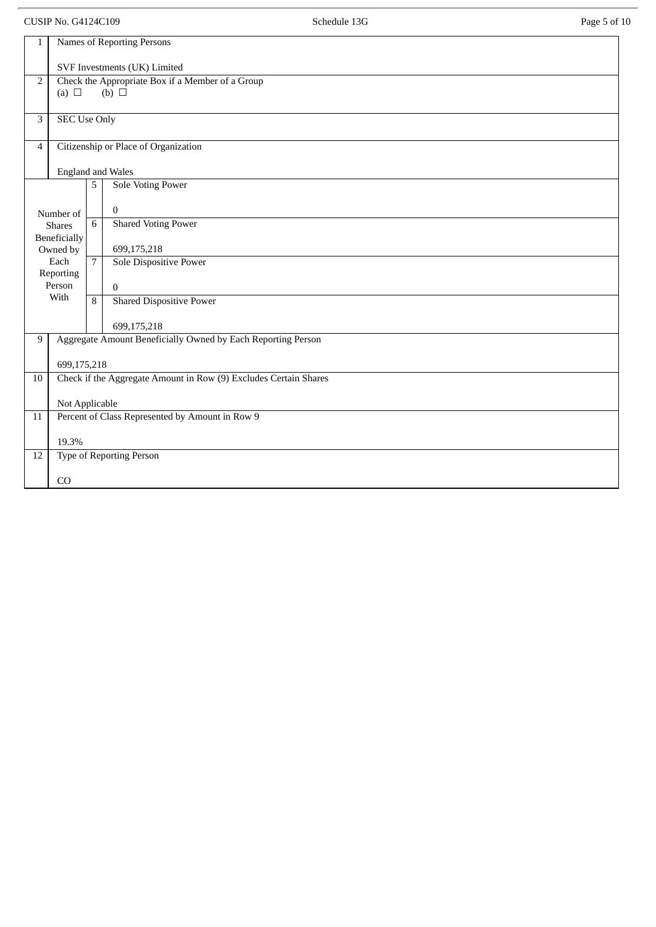CUSIP No. G4124C109 **Schedule 13G** Page 5 of 10 1 Names of Reporting Persons SVF Investments (UK) Limited 2 Check the Appropriate Box if a Member of a Group  $(a) \Box$   $(b) \Box$ 3 SEC Use Only 4 Citizenship or Place of Organization England and Wales Number of Shares Beneficially Owned by Each Reporting Person With 5 Sole Voting Power 0 6 Shared Voting Power 699,175,218 7 Sole Dispositive Power 0 8 Shared Dispositive Power 699,175,218 9 | Aggregate Amount Beneficially Owned by Each Reporting Person 699,175,218 10 Check if the Aggregate Amount in Row (9) Excludes Certain Shares Not Applicable 11 Percent of Class Represented by Amount in Row 9 19.3% 12 Type of Reporting Person CO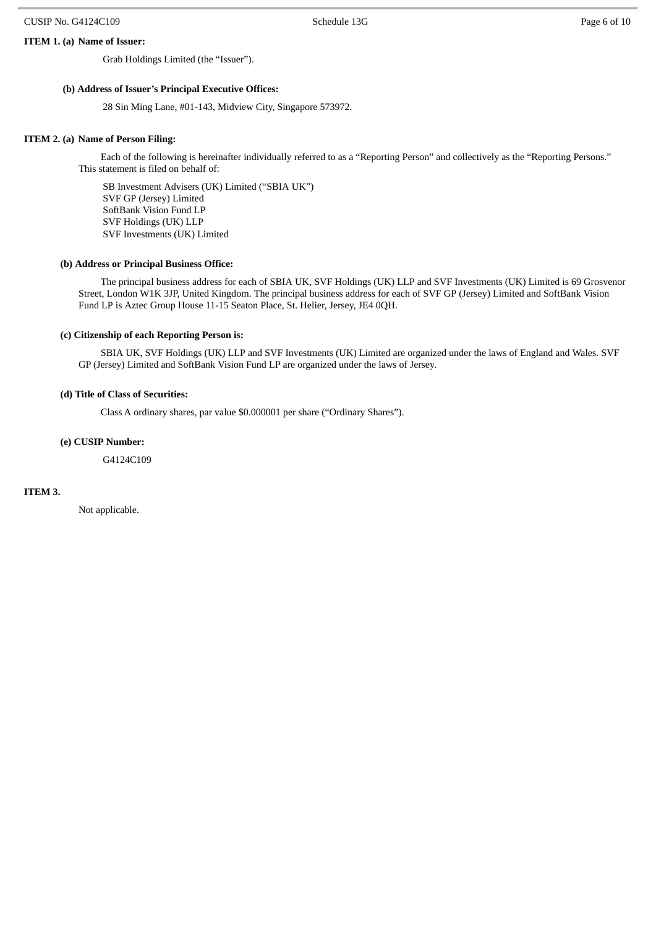#### **ITEM 1. (a) Name of Issuer:**

Grab Holdings Limited (the "Issuer").

#### **(b) Address of Issuer's Principal Executive Offices:**

28 Sin Ming Lane, #01-143, Midview City, Singapore 573972.

#### **ITEM 2. (a) Name of Person Filing:**

Each of the following is hereinafter individually referred to as a "Reporting Person" and collectively as the "Reporting Persons." This statement is filed on behalf of:

SB Investment Advisers (UK) Limited ("SBIA UK") SVF GP (Jersey) Limited SoftBank Vision Fund LP SVF Holdings (UK) LLP SVF Investments (UK) Limited

#### **(b) Address or Principal Business Office:**

The principal business address for each of SBIA UK, SVF Holdings (UK) LLP and SVF Investments (UK) Limited is 69 Grosvenor Street, London W1K 3JP, United Kingdom. The principal business address for each of SVF GP (Jersey) Limited and SoftBank Vision Fund LP is Aztec Group House 11-15 Seaton Place, St. Helier, Jersey, JE4 0QH.

#### **(c) Citizenship of each Reporting Person is:**

SBIA UK, SVF Holdings (UK) LLP and SVF Investments (UK) Limited are organized under the laws of England and Wales. SVF GP (Jersey) Limited and SoftBank Vision Fund LP are organized under the laws of Jersey.

#### **(d) Title of Class of Securities:**

Class A ordinary shares, par value \$0.000001 per share ("Ordinary Shares").

#### **(e) CUSIP Number:**

G4124C109

#### **ITEM 3.**

Not applicable.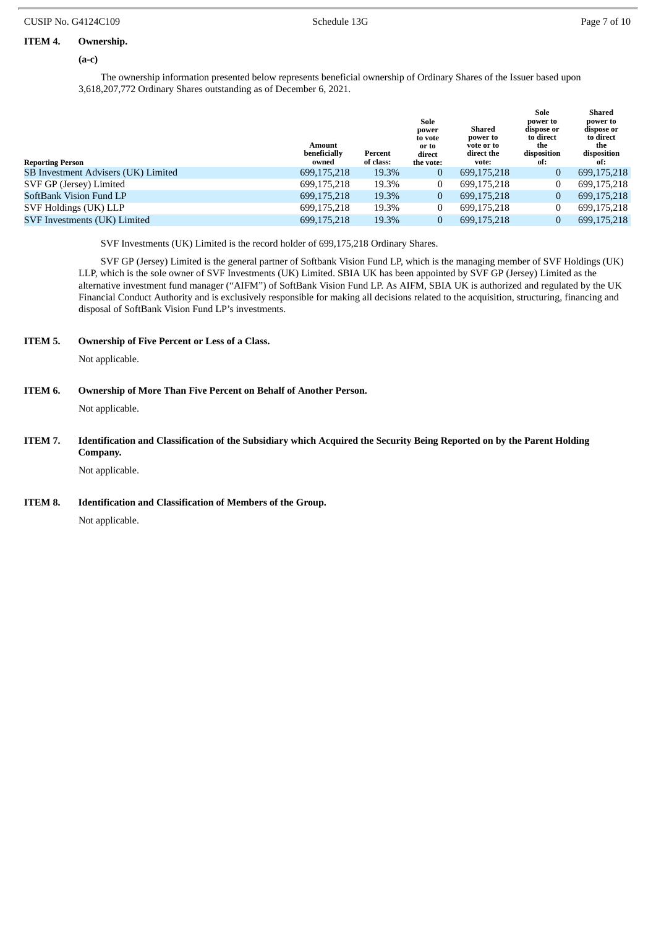#### **ITEM 4. Ownership.**

**(a-c)**

The ownership information presented below represents beneficial ownership of Ordinary Shares of the Issuer based upon 3,618,207,772 Ordinary Shares outstanding as of December 6, 2021.

| <b>Reporting Person</b>             | Amount<br>beneficially<br>owned | Percent<br>of class: | Sole<br>power<br>to vote<br>or to<br>direct<br>the vote: | Shared<br>power to<br>vote or to<br>direct the<br>vote: | Sole<br>power to<br>dispose or<br>to direct<br>the<br>disposition<br>of: | Shared<br>power to<br>dispose or<br>to direct<br>the<br>disposition<br>of: |
|-------------------------------------|---------------------------------|----------------------|----------------------------------------------------------|---------------------------------------------------------|--------------------------------------------------------------------------|----------------------------------------------------------------------------|
| SB Investment Advisers (UK) Limited | 699,175,218                     | 19.3%                | 0                                                        | 699,175,218                                             | $\bf{0}$                                                                 | 699,175,218                                                                |
| SVF GP (Jersey) Limited             | 699,175,218                     | 19.3%                |                                                          | 699,175,218                                             |                                                                          | 699,175,218                                                                |
| SoftBank Vision Fund LP             | 699,175,218                     | 19.3%                | 0                                                        | 699,175,218                                             | $\mathbf{0}$                                                             | 699,175,218                                                                |
| SVF Holdings (UK) LLP               | 699,175,218                     | 19.3%                |                                                          | 699.175.218                                             | 0                                                                        | 699,175,218                                                                |
| SVF Investments (UK) Limited        | 699,175,218                     | 19.3%                |                                                          | 699.175.218                                             | 0                                                                        | 699.175.218                                                                |

SVF Investments (UK) Limited is the record holder of 699,175,218 Ordinary Shares.

SVF GP (Jersey) Limited is the general partner of Softbank Vision Fund LP, which is the managing member of SVF Holdings (UK) LLP, which is the sole owner of SVF Investments (UK) Limited. SBIA UK has been appointed by SVF GP (Jersey) Limited as the alternative investment fund manager ("AIFM") of SoftBank Vision Fund LP. As AIFM, SBIA UK is authorized and regulated by the UK Financial Conduct Authority and is exclusively responsible for making all decisions related to the acquisition, structuring, financing and disposal of SoftBank Vision Fund LP's investments.

**ITEM 5. Ownership of Five Percent or Less of a Class.**

Not applicable.

# **ITEM 6. Ownership of More Than Five Percent on Behalf of Another Person.**

Not applicable.

ITEM 7. Identification and Classification of the Subsidiary which Acquired the Security Being Reported on by the Parent Holding **Company.**

Not applicable.

**ITEM 8. Identification and Classification of Members of the Group.**

Not applicable.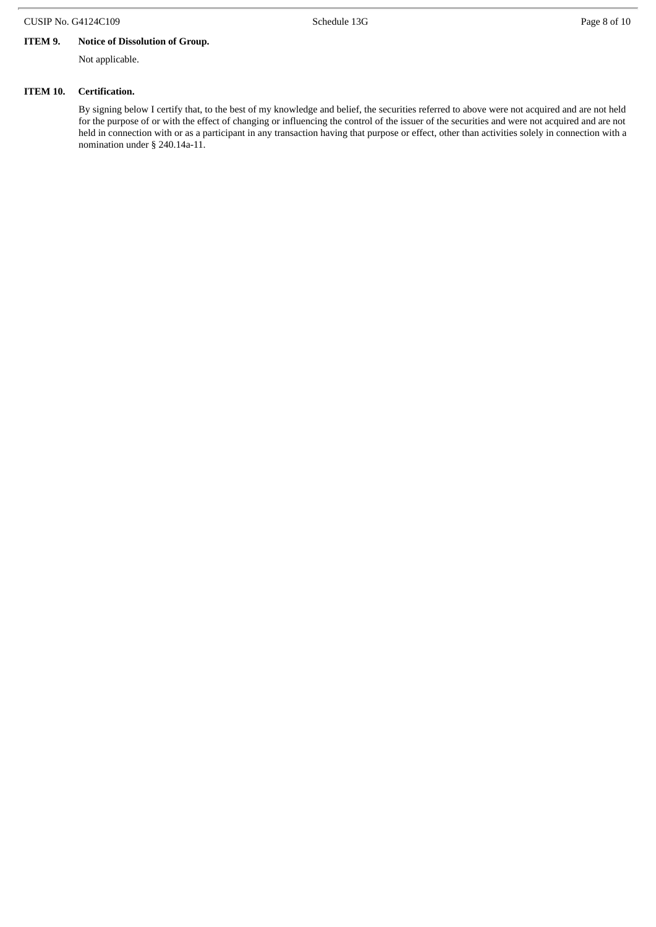## CUSIP No. G4124C109 **Schedule 13G Schedule 13G** Page 8 of 10

# **ITEM 9. Notice of Dissolution of Group.**

Not applicable.

#### **ITEM 10. Certification.**

By signing below I certify that, to the best of my knowledge and belief, the securities referred to above were not acquired and are not held for the purpose of or with the effect of changing or influencing the control of the issuer of the securities and were not acquired and are not held in connection with or as a participant in any transaction having that purpose or effect, other than activities solely in connection with a nomination under § 240.14a-11.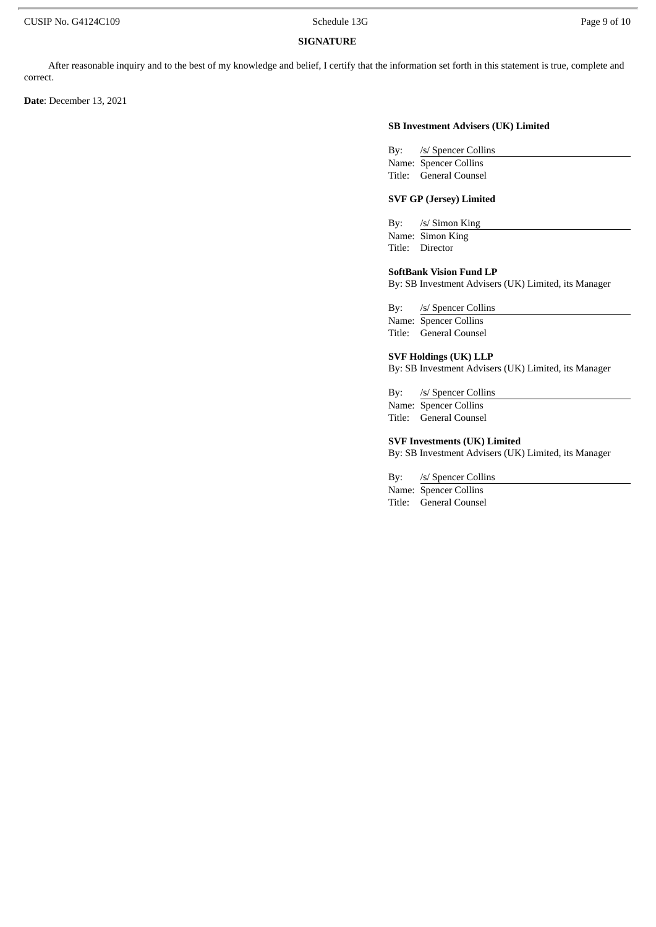#### **SIGNATURE**

After reasonable inquiry and to the best of my knowledge and belief, I certify that the information set forth in this statement is true, complete and correct.

**Date**: December 13, 2021

#### **SB Investment Advisers (UK) Limited**

| Bv: | /s/ Spencer Collins    |
|-----|------------------------|
|     | Name: Spencer Collins  |
|     | Title: General Counsel |

## **SVF GP (Jersey) Limited**

By: /s/ Simon King Name: Simon King Title: Director

#### **SoftBank Vision Fund LP**

By: SB Investment Advisers (UK) Limited, its Manager

By: /s/ Spencer Collins

Name: Spencer Collins Title: General Counsel

## **SVF Holdings (UK) LLP**

By: SB Investment Advisers (UK) Limited, its Manager

By: /s/ Spencer Collins

Name: Spencer Collins Title: General Counsel

#### **SVF Investments (UK) Limited**

By: SB Investment Advisers (UK) Limited, its Manager

By: /s/ Spencer Collins

Name: Spencer Collins Title: General Counsel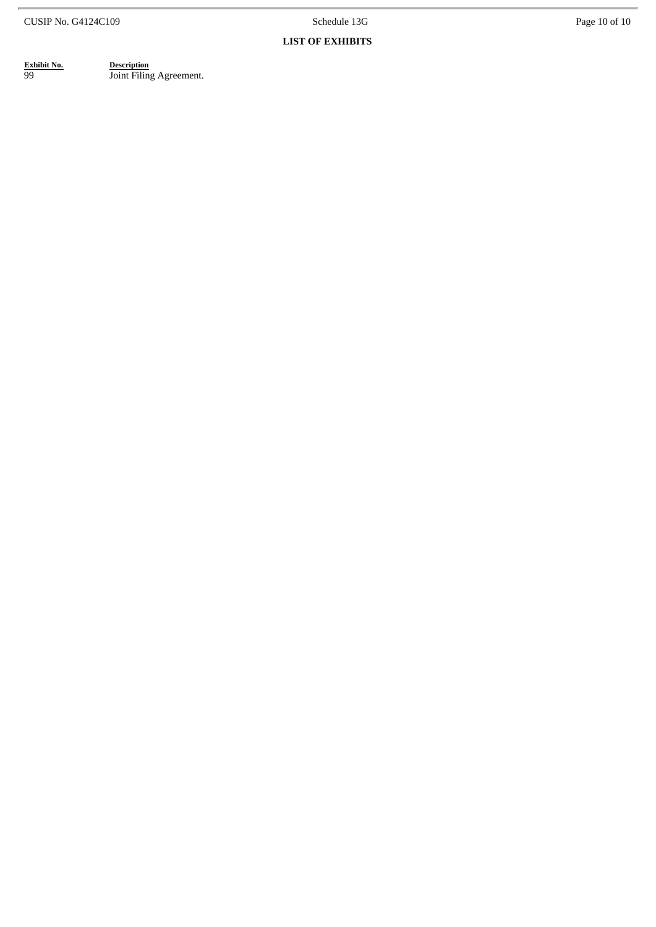Schedule 13G

#### **LIST OF EXHIBITS**

| Exhibit No |  |  |  |
|------------|--|--|--|
| aa         |  |  |  |

**Exhibit No.** Description 99 **Joint Filing Agreement.**